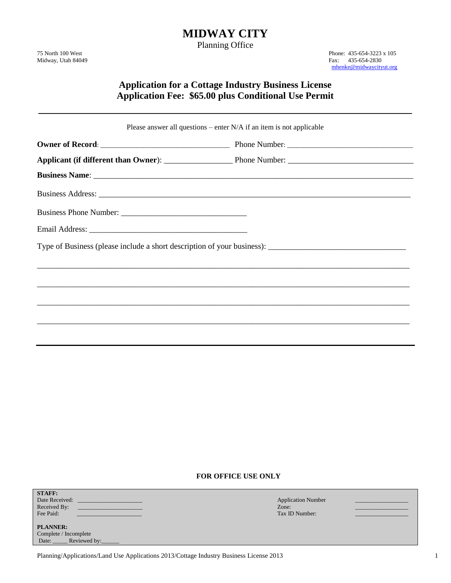# **MIDWAY CITY**

Planning Office

75 North 100 West Phone: 435-654-3223 x 105<br>Midway, Utah 84049 Fax: 435-654-2830 [mhenke@midwaycityut.org](mailto:mhenke@midwaycityut.org)

## **Application for a Cottage Industry Business License Application Fee: \$65.00 plus Conditional Use Permit**

\_\_\_\_\_\_\_\_\_\_\_\_\_\_\_\_\_\_\_\_\_\_\_\_\_\_\_\_\_\_\_\_\_\_\_\_\_\_\_\_\_\_\_\_\_\_\_\_\_\_\_\_\_\_\_\_\_

| Please answer all questions – enter $N/A$ if an item is not applicable |  |  |  |  |
|------------------------------------------------------------------------|--|--|--|--|
|                                                                        |  |  |  |  |
|                                                                        |  |  |  |  |
|                                                                        |  |  |  |  |
|                                                                        |  |  |  |  |
|                                                                        |  |  |  |  |
|                                                                        |  |  |  |  |
|                                                                        |  |  |  |  |
|                                                                        |  |  |  |  |
|                                                                        |  |  |  |  |
|                                                                        |  |  |  |  |
|                                                                        |  |  |  |  |
|                                                                        |  |  |  |  |

### **FOR OFFICE USE ONLY**

| <b>STAFF:</b><br>Date Received:<br>Received By:<br>Fee Paid: | <b>Application Number</b><br>Zone:<br>Tax ID Number: |  |
|--------------------------------------------------------------|------------------------------------------------------|--|
| <b>PLANNER:</b><br>Complete / Incomplete                     |                                                      |  |

Date: \_\_\_\_\_\_ Reviewed by:

Planning/Applications/Land Use Applications 2013/Cottage Industry Business License 2013 1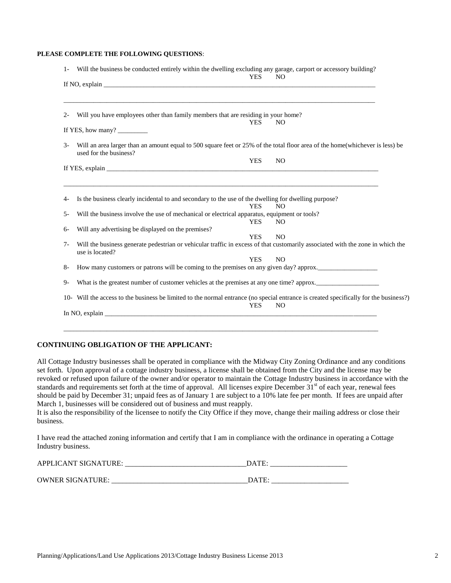#### **PLEASE COMPLETE THE FOLLOWING QUESTIONS**:

|            | Will the business be conducted entirely within the dwelling excluding any garage, carport or accessory building?<br><b>YES</b><br>N <sub>O</sub><br>If NO, explain $\frac{1}{\sqrt{1-\frac{1}{2}}\left(\frac{1}{2}-\frac{1}{2}\right)}$                              |
|------------|----------------------------------------------------------------------------------------------------------------------------------------------------------------------------------------------------------------------------------------------------------------------|
|            |                                                                                                                                                                                                                                                                      |
| $2 -$      | Will you have employees other than family members that are residing in your home?                                                                                                                                                                                    |
|            | <b>YES</b><br>N <sub>O</sub><br>If YES, how many?                                                                                                                                                                                                                    |
| $3-$       | Will an area larger than an amount equal to 500 square feet or 25% of the total floor area of the home(whichever is less) be<br>used for the business?                                                                                                               |
|            | <b>YES</b><br>N <sub>O</sub>                                                                                                                                                                                                                                         |
|            | If YES, explain $\Box$                                                                                                                                                                                                                                               |
| 4-<br>$5-$ | Is the business clearly incidental to and secondary to the use of the dwelling for dwelling purpose?<br><b>YES</b><br>N <sub>O</sub><br>Will the business involve the use of mechanical or electrical apparatus, equipment or tools?<br><b>YES</b><br>N <sub>O</sub> |
| $6-$       | Will any advertising be displayed on the premises?                                                                                                                                                                                                                   |
| $7 -$      | <b>YES</b><br>N <sub>O</sub><br>Will the business generate pedestrian or vehicular traffic in excess of that customarily associated with the zone in which the<br>use is located?                                                                                    |
|            | <b>YES</b><br>N <sub>O</sub>                                                                                                                                                                                                                                         |
| $8-$       | How many customers or patrons will be coming to the premises on any given day? approx.                                                                                                                                                                               |
| $9-$       | What is the greatest number of customer vehicles at the premises at any one time? approx.                                                                                                                                                                            |
|            | 10- Will the access to the business be limited to the normal entrance (no special entrance is created specifically for the business?)<br><b>YES</b><br>N <sub>O</sub>                                                                                                |
|            |                                                                                                                                                                                                                                                                      |

### **CONTINUING OBLIGATION OF THE APPLICANT:**

All Cottage Industry businesses shall be operated in compliance with the Midway City Zoning Ordinance and any conditions set forth. Upon approval of a cottage industry business, a license shall be obtained from the City and the license may be revoked or refused upon failure of the owner and/or operator to maintain the Cottage Industry business in accordance with the standards and requirements set forth at the time of approval. All licenses expire December 31<sup>st</sup> of each year, renewal fees should be paid by December 31; unpaid fees as of January 1 are subject to a 10% late fee per month. If fees are unpaid after March 1, businesses will be considered out of business and must reapply.

It is also the responsibility of the licensee to notify the City Office if they move, change their mailing address or close their business.

I have read the attached zoning information and certify that I am in compliance with the ordinance in operating a Cottage Industry business.

| . NF<br>IR E<br><b>APPL</b><br>л<br><br><b>TIM</b> | ١Λ                       |
|----------------------------------------------------|--------------------------|
|                                                    |                          |
| OWNER<br>$\mathbf{N}$ GNATHRE<br>w                 | <b>DAT</b><br>__________ |